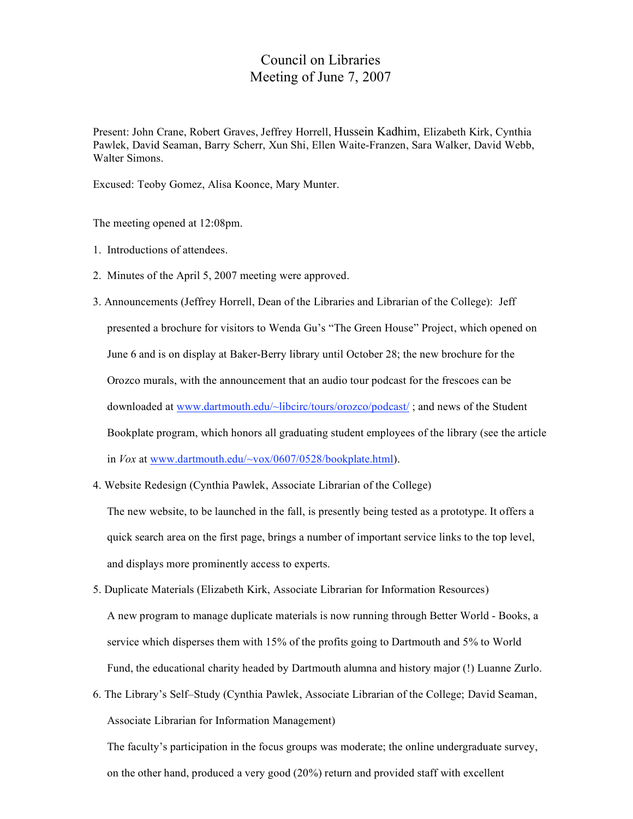## Council on Libraries Meeting of June 7, 2007

Present: John Crane, Robert Graves, Jeffrey Horrell, Hussein Kadhim, Elizabeth Kirk, Cynthia Pawlek, David Seaman, Barry Scherr, Xun Shi, Ellen Waite-Franzen, Sara Walker, David Webb, Walter Simons.

Excused: Teoby Gomez, Alisa Koonce, Mary Munter.

The meeting opened at 12:08pm.

- 1. Introductions of attendees.
- 2. Minutes of the April 5, 2007 meeting were approved.
- 3. Announcements (Jeffrey Horrell, Dean of the Libraries and Librarian of the College): Jeff presented a brochure for visitors to Wenda Gu's "The Green House" Project, which opened on June 6 and is on display at Baker-Berry library until October 28; the new brochure for the Orozco murals, with the announcement that an audio tour podcast for the frescoes can be downloaded at www.dartmouth.edu/~libcirc/tours/orozco/podcast/ ; and news of the Student Bookplate program, which honors all graduating student employees of the library (see the article in *Vox* at www.dartmouth.edu/~vox/0607/0528/bookplate.html).
- 4. Website Redesign (Cynthia Pawlek, Associate Librarian of the College)

The new website, to be launched in the fall, is presently being tested as a prototype. It offers a quick search area on the first page, brings a number of important service links to the top level, and displays more prominently access to experts.

- 5. Duplicate Materials (Elizabeth Kirk, Associate Librarian for Information Resources) A new program to manage duplicate materials is now running through Better World - Books, a service which disperses them with 15% of the profits going to Dartmouth and 5% to World Fund, the educational charity headed by Dartmouth alumna and history major (!) Luanne Zurlo.
- 6. The Library's Self–Study (Cynthia Pawlek, Associate Librarian of the College; David Seaman, Associate Librarian for Information Management)

The faculty's participation in the focus groups was moderate; the online undergraduate survey, on the other hand, produced a very good (20%) return and provided staff with excellent